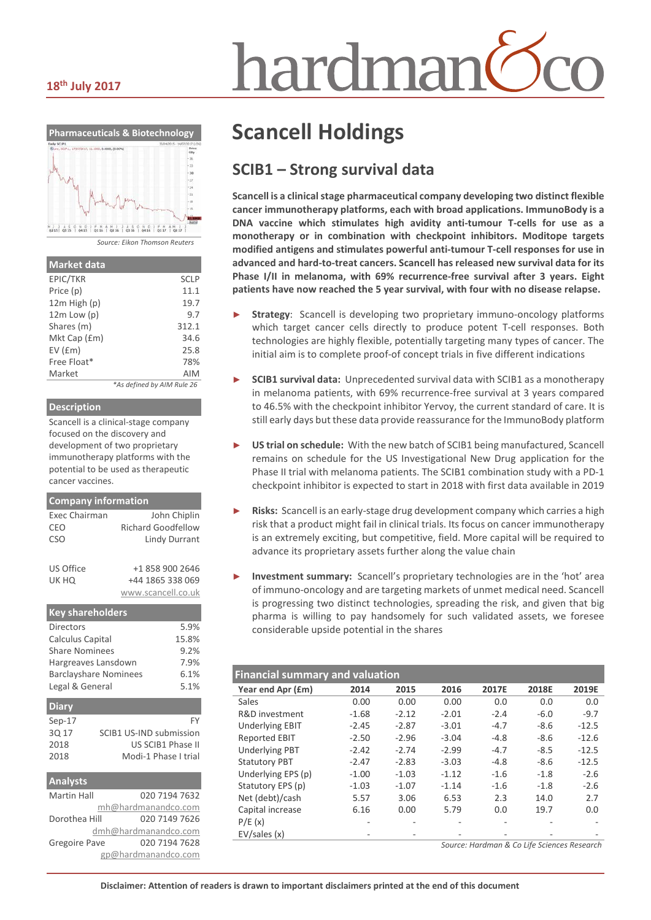#### **18th July 2017**



*Source: Eikon Thomson Reuters*

| <b>Market data</b> |                            |
|--------------------|----------------------------|
| EPIC/TKR           | <b>SCLP</b>                |
| Price (p)          | 11.1                       |
| $12m$ High $(p)$   | 19.7                       |
| $12m$ Low $(p)$    | 9.7                        |
| Shares (m)         | 312.1                      |
| Mkt Cap (£m)       | 34.6                       |
| $EV$ ( $Em$ )      | 25.8                       |
| Free Float*        | 78%                        |
| Market             | AIM                        |
|                    | *As defined by AIM Rule 26 |

#### **Description**

Scancell is a clinical-stage company focused on the discovery and development of two proprietary immunotherapy platforms with the potential to be used as therapeutic cancer vaccines.

| <b>Company information</b>   |                                |
|------------------------------|--------------------------------|
| <b>Exec Chairman</b>         | John Chiplin                   |
| CEO                          | <b>Richard Goodfellow</b>      |
| <b>CSO</b>                   | <b>Lindy Durrant</b>           |
|                              |                                |
| US Office                    | +1 858 900 2646                |
| UK HQ                        | +44 1865 338 069               |
|                              | www.scancell.co.uk             |
| <b>Key shareholders</b>      |                                |
| Directors                    | 5.9%                           |
| Calculus Capital             | 15.8%                          |
| <b>Share Nominees</b>        | 9.2%                           |
| Hargreaves Lansdown          | 7.9%                           |
| <b>Barclayshare Nominees</b> | 6.1%                           |
| Legal & General              | 5.1%                           |
| <b>Diary</b>                 |                                |
| $Sep-17$                     | FY                             |
| 3Q 17                        | <b>SCIB1 US-IND submission</b> |
| 2018                         | US SCIB1 Phase II              |
| 2018                         | Modi-1 Phase I trial           |
| <b>Analysts</b>              |                                |
| <b>Martin Hall</b>           | 020 7194 7632                  |
|                              | mh@hardmanandco.com            |
| Dorothea Hill                | 020 7149 7626                  |
|                              | dmh@hardmanandco.com           |

Gregoire Pave 020 7194 7628

gp@hardmanandco.com

## **Scancell Holdings**

### **SCIB1 – Strong survival data**

hardmar

**Scancell is a clinical stage pharmaceutical company developing two distinct flexible cancer immunotherapy platforms, each with broad applications. ImmunoBody is a DNA vaccine which stimulates high avidity anti-tumour T-cells for use as a monotherapy or in combination with checkpoint inhibitors. Moditope targets modified antigens and stimulates powerful anti-tumour T-cell responses for use in advanced and hard-to-treat cancers. Scancell has released new survival data for its Phase I/II in melanoma, with 69% recurrence-free survival after 3 years. Eight patients have now reached the 5 year survival, with four with no disease relapse.**

- Strategy: Scancell is developing two proprietary immuno-oncology platforms which target cancer cells directly to produce potent T-cell responses. Both technologies are highly flexible, potentially targeting many types of cancer. The initial aim is to complete proof-of concept trials in five different indications
- ► **SCIB1 survival data:** Unprecedented survival data with SCIB1 as a monotherapy in melanoma patients, with 69% recurrence-free survival at 3 years compared to 46.5% with the checkpoint inhibitor Yervoy, the current standard of care. It is still early days but these data provide reassurance for the ImmunoBody platform
- US trial on schedule: With the new batch of SCIB1 being manufactured, Scancell remains on schedule for the US Investigational New Drug application for the Phase II trial with melanoma patients. The SCIB1 combination study with a PD-1 checkpoint inhibitor is expected to start in 2018 with first data available in 2019
- Risks: Scancell is an early-stage drug development company which carries a high risk that a product might fail in clinical trials. Its focus on cancer immunotherapy is an extremely exciting, but competitive, field. More capital will be required to advance its proprietary assets further along the value chain
- ► **Investment summary:** Scancell's proprietary technologies are in the 'hot' area of immuno-oncology and are targeting markets of unmet medical need. Scancell is progressing two distinct technologies, spreading the risk, and given that big pharma is willing to pay handsomely for such validated assets, we foresee considerable upside potential in the shares

| <b>Financial summary and valuation</b> |         |         |         |                                                 |        |         |  |
|----------------------------------------|---------|---------|---------|-------------------------------------------------|--------|---------|--|
| Year end Apr (£m)                      | 2014    | 2015    | 2016    | 2017E                                           | 2018E  | 2019E   |  |
| Sales                                  | 0.00    | 0.00    | 0.00    | 0.0                                             | 0.0    | 0.0     |  |
| R&D investment                         | $-1.68$ | $-2.12$ | $-2.01$ | $-2.4$                                          | $-6.0$ | $-9.7$  |  |
| <b>Underlying EBIT</b>                 | $-2.45$ | $-2.87$ | $-3.01$ | $-4.7$                                          | $-8.6$ | $-12.5$ |  |
| <b>Reported EBIT</b>                   | $-2.50$ | $-2.96$ | $-3.04$ | $-4.8$                                          | $-8.6$ | $-12.6$ |  |
| <b>Underlying PBT</b>                  | $-2.42$ | $-2.74$ | $-2.99$ | $-4.7$                                          | $-8.5$ | $-12.5$ |  |
| <b>Statutory PBT</b>                   | $-2.47$ | $-2.83$ | $-3.03$ | $-4.8$                                          | $-8.6$ | $-12.5$ |  |
| Underlying EPS (p)                     | $-1.00$ | $-1.03$ | $-1.12$ | $-1.6$                                          | $-1.8$ | $-2.6$  |  |
| Statutory EPS (p)                      | $-1.03$ | $-1.07$ | $-1.14$ | $-1.6$                                          | $-1.8$ | $-2.6$  |  |
| Net (debt)/cash                        | 5.57    | 3.06    | 6.53    | 2.3                                             | 14.0   | 2.7     |  |
| Capital increase                       | 6.16    | 0.00    | 5.79    | 0.0                                             | 19.7   | 0.0     |  |
| P/E(x)                                 |         |         |         |                                                 |        |         |  |
| EV/sales(x)                            |         |         |         |                                                 |        |         |  |
|                                        |         |         |         | Course Houstoine C.C. Life Colonnon Description |        |         |  |

*Source: Hardman & Co Life Sciences Research*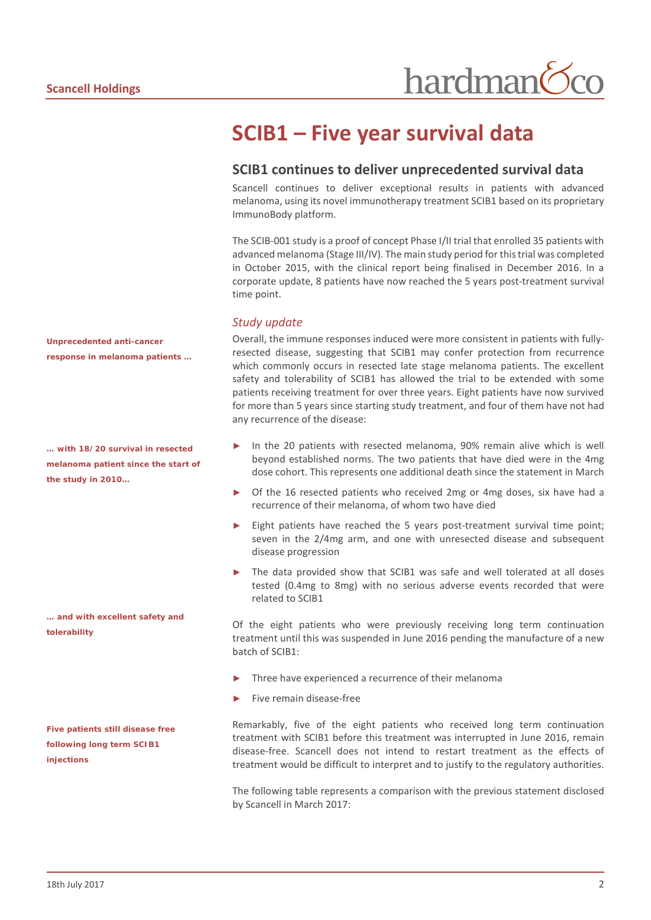## **SCIB1 – Five year survival data**

#### **SCIB1 continues to deliver unprecedented survival data**

Scancell continues to deliver exceptional results in patients with advanced melanoma, using its novel immunotherapy treatment SCIB1 based on its proprietary ImmunoBody platform.

The SCIB-001 study is a proof of concept Phase I/II trial that enrolled 35 patients with advanced melanoma (Stage III/IV). The main study period for this trial was completed in October 2015, with the clinical report being finalised in December 2016. In a corporate update, 8 patients have now reached the 5 years post-treatment survival time point.

#### *Study update*

Overall, the immune responses induced were more consistent in patients with fullyresected disease, suggesting that SCIB1 may confer protection from recurrence which commonly occurs in resected late stage melanoma patients. The excellent safety and tolerability of SCIB1 has allowed the trial to be extended with some patients receiving treatment for over three years. Eight patients have now survived for more than 5 years since starting study treatment, and four of them have not had any recurrence of the disease:

- In the 20 patients with resected melanoma, 90% remain alive which is well beyond established norms. The two patients that have died were in the 4mg dose cohort. This represents one additional death since the statement in March
- Of the 16 resected patients who received 2mg or 4mg doses, six have had a recurrence of their melanoma, of whom two have died
- Eight patients have reached the 5 years post-treatment survival time point; seven in the 2/4mg arm, and one with unresected disease and subsequent disease progression
- The data provided show that SCIB1 was safe and well tolerated at all doses tested (0.4mg to 8mg) with no serious adverse events recorded that were related to SCIB1

Of the eight patients who were previously receiving long term continuation treatment until this was suspended in June 2016 pending the manufacture of a new batch of SCIB1:

- Three have experienced a recurrence of their melanoma
- Five remain disease-free

Remarkably, five of the eight patients who received long term continuation treatment with SCIB1 before this treatment was interrupted in June 2016, remain disease-free. Scancell does not intend to restart treatment as the effects of treatment would be difficult to interpret and to justify to the regulatory authorities.

The following table represents a comparison with the previous statement disclosed by Scancell in March 2017:

*Unprecedented anti-cancer response in melanoma patients …*

*… with 18/20 survival in resected melanoma patient since the start of the study in 2010…*

*… and with excellent safety and tolerability* 

*Five patients still disease free following long term SCIB1 injections*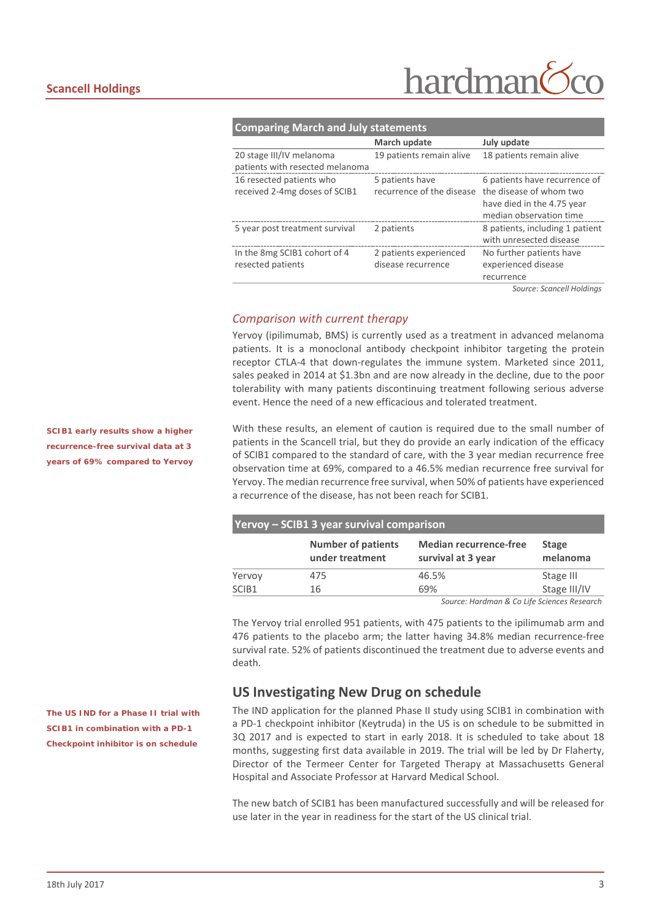# hardman

| <b>Comparing March and July statements</b> |                           |                                 |  |  |
|--------------------------------------------|---------------------------|---------------------------------|--|--|
|                                            | March update              | July update                     |  |  |
| 20 stage III/IV melanoma                   | 19 patients remain alive  | 18 patients remain alive        |  |  |
| patients with resected melanoma            |                           |                                 |  |  |
| 16 resected patients who                   | 5 patients have           | 6 patients have recurrence of   |  |  |
| received 2-4mg doses of SCIB1              | recurrence of the disease | the disease of whom two         |  |  |
|                                            |                           | have died in the 4.75 year      |  |  |
|                                            |                           | median observation time         |  |  |
| 5 year post treatment survival             | 2 patients                | 8 patients, including 1 patient |  |  |
|                                            |                           | with unresected disease         |  |  |
| In the 8mg SCIB1 cohort of 4               | 2 patients experienced    | No further patients have        |  |  |
| resected patients                          | disease recurrence        | experienced disease             |  |  |
|                                            |                           | recurrence                      |  |  |
|                                            |                           |                                 |  |  |

*Source: Scancell Holdings*

#### *Comparison with current therapy*

Yervoy (ipilimumab, BMS) is currently used as a treatment in advanced melanoma patients. It is a monoclonal antibody checkpoint inhibitor targeting the protein receptor CTLA-4 that down-regulates the immune system. Marketed since 2011, sales peaked in 2014 at \$1.3bn and are now already in the decline, due to the poor tolerability with many patients discontinuing treatment following serious adverse event. Hence the need of a new efficacious and tolerated treatment.

With these results, an element of caution is required due to the small number of patients in the Scancell trial, but they do provide an early indication of the efficacy of SCIB1 compared to the standard of care, with the 3 year median recurrence free observation time at 69%, compared to a 46.5% median recurrence free survival for Yervoy. The median recurrence free survival, when 50% of patients have experienced a recurrence of the disease, has not been reach for SCIB1.

| Yervoy - SCIB1 3 year survival comparison |                                              |                                                     |                          |  |  |  |
|-------------------------------------------|----------------------------------------------|-----------------------------------------------------|--------------------------|--|--|--|
|                                           | <b>Number of patients</b><br>under treatment | <b>Median recurrence-free</b><br>survival at 3 year | <b>Stage</b><br>melanoma |  |  |  |
| Yervoy                                    | 475                                          | 46.5%                                               | Stage III                |  |  |  |
| SCIB1                                     | 16                                           | 69%                                                 | Stage III/IV             |  |  |  |

*Source: Hardman & Co Life Sciences Research*

The Yervoy trial enrolled 951 patients, with 475 patients to the ipilimumab arm and 476 patients to the placebo arm; the latter having 34.8% median recurrence-free survival rate. 52% of patients discontinued the treatment due to adverse events and death.

#### **US Investigating New Drug on schedule**

The IND application for the planned Phase II study using SCIB1 in combination with a PD-1 checkpoint inhibitor (Keytruda) in the US is on schedule to be submitted in 3Q 2017 and is expected to start in early 2018. It is scheduled to take about 18 months, suggesting first data available in 2019. The trial will be led by Dr Flaherty, Director of the Termeer Center for Targeted Therapy at Massachusetts General Hospital and Associate Professor at Harvard Medical School.

The new batch of SCIB1 has been manufactured successfully and will be released for use later in the year in readiness for the start of the US clinical trial.

*SCIB1 early results show a higher recurrence-free survival data at 3 years of 69% compared to Yervoy* 

*The US IND for a Phase II trial with SCIB1 in combination with a PD-1 Checkpoint inhibitor is on schedule*